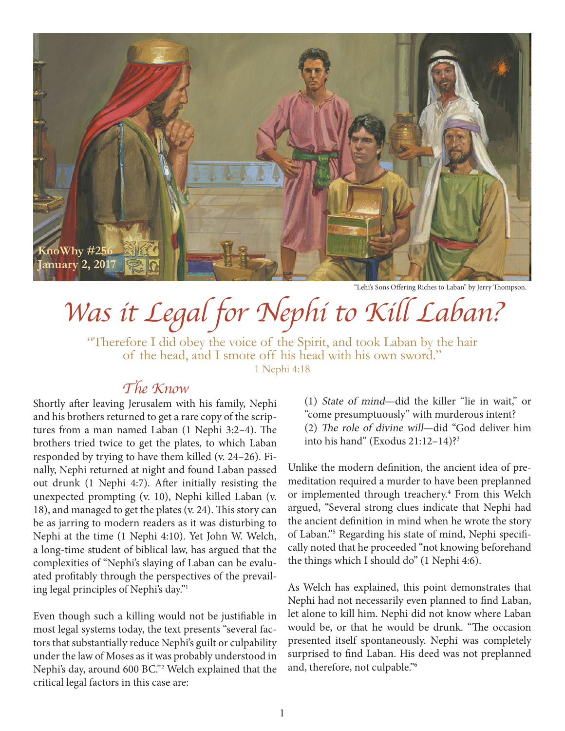

"Lehi's Sons Offering Riches to Laban" by Jerry Thompson.

## *Was it Legal for Nephi to Kill Laban?*

"Therefore I did obey the voice of the Spirit, and took Laban by the hair of the head, and I smote off his head with his own sword." 1 Nephi 4:18

## *The Know*

Shortly after leaving Jerusalem with his family, Nephi and his brothers returned to get a rare copy of the scriptures from a man named Laban (1 Nephi 3:2–4). The brothers tried twice to get the plates, to which Laban responded by trying to have them killed (v. 24–26). Finally, Nephi returned at night and found Laban passed out drunk (1 Nephi 4:7). After initially resisting the unexpected prompting (v. 10), Nephi killed Laban (v. 18), and managed to get the plates (v. 24). This story can be as jarring to modern readers as it was disturbing to Nephi at the time (1 Nephi 4:10). Yet John W. Welch, a long-time student of biblical law, has argued that the complexities of "Nephi's slaying of Laban can be evaluated profitably through the perspectives of the prevailing legal principles of Nephi's day."1

Even though such a killing would not be justifiable in most legal systems today, the text presents "several factors that substantially reduce Nephi's guilt or culpability under the law of Moses as it was probably understood in Nephi's day, around 600 BC."2 Welch explained that the critical legal factors in this case are:

(1) State of mind—did the killer "lie in wait," or "come presumptuously" with murderous intent? (2) The role of divine will—did "God deliver him into his hand" (Exodus 21:12–14)?3

Unlike the modern definition, the ancient idea of premeditation required a murder to have been preplanned or implemented through treachery.<sup>4</sup> From this Welch argued, "Several strong clues indicate that Nephi had the ancient definition in mind when he wrote the story of Laban."5 Regarding his state of mind, Nephi specifically noted that he proceeded "not knowing beforehand the things which I should do" (1 Nephi 4:6).

As Welch has explained, this point demonstrates that Nephi had not necessarily even planned to find Laban, let alone to kill him. Nephi did not know where Laban would be, or that he would be drunk. "The occasion presented itself spontaneously. Nephi was completely surprised to find Laban. His deed was not preplanned and, therefore, not culpable."6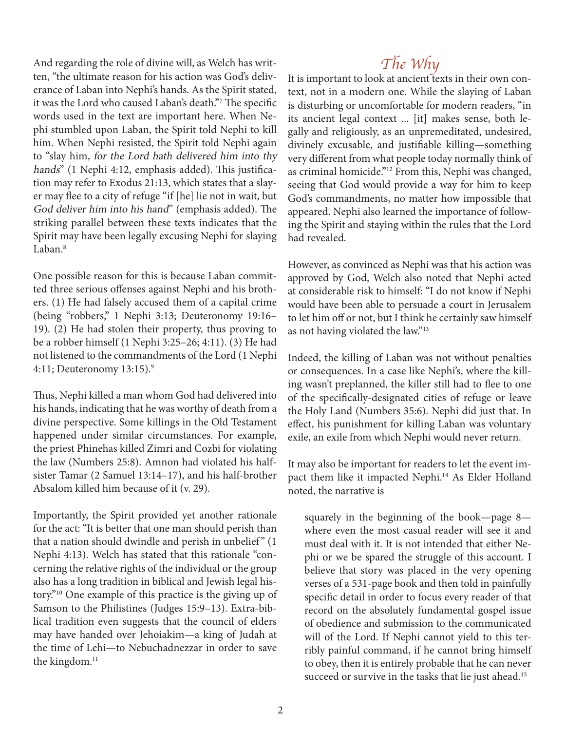And regarding the role of divine will, as Welch has written, "the ultimate reason for his action was God's deliverance of Laban into Nephi's hands. As the Spirit stated, it was the Lord who caused Laban's death."7 The specific words used in the text are important here. When Nephi stumbled upon Laban, the Spirit told Nephi to kill him. When Nephi resisted, the Spirit told Nephi again to "slay him, for the Lord hath delivered him into thy hands" (1 Nephi 4:12, emphasis added). This justification may refer to Exodus 21:13, which states that a slayer may flee to a city of refuge "if [he] lie not in wait, but God deliver him into his hand" (emphasis added). The striking parallel between these texts indicates that the Spirit may have been legally excusing Nephi for slaying Laban.<sup>8</sup>

One possible reason for this is because Laban committed three serious offenses against Nephi and his brothers. (1) He had falsely accused them of a capital crime (being "robbers," 1 Nephi 3:13; Deuteronomy 19:16– 19). (2) He had stolen their property, thus proving to be a robber himself (1 Nephi 3:25–26; 4:11). (3) He had not listened to the commandments of the Lord (1 Nephi 4:11; Deuteronomy 13:15).9

Thus, Nephi killed a man whom God had delivered into his hands, indicating that he was worthy of death from a divine perspective. Some killings in the Old Testament happened under similar circumstances. For example, the priest Phinehas killed Zimri and Cozbi for violating the law (Numbers 25:8). Amnon had violated his halfsister Tamar (2 Samuel 13:14–17), and his half-brother Absalom killed him because of it (v. 29).

Importantly, the Spirit provided yet another rationale for the act: "It is better that one man should perish than that a nation should dwindle and perish in unbelief" (1) Nephi 4:13). Welch has stated that this rationale "concerning the relative rights of the individual or the group also has a long tradition in biblical and Jewish legal history."10 One example of this practice is the giving up of Samson to the Philistines (Judges 15:9–13). Extra-biblical tradition even suggests that the council of elders may have handed over Jehoiakim—a king of Judah at the time of Lehi—to Nebuchadnezzar in order to save the kingdom.<sup>11</sup>

*The Why*<br>It is important to look at ancient texts in their own context, not in a modern one. While the slaying of Laban is disturbing or uncomfortable for modern readers, "in its ancient legal context ... [it] makes sense, both legally and religiously, as an unpremeditated, undesired, divinely excusable, and justifiable killing—something very different from what people today normally think of as criminal homicide."12 From this, Nephi was changed, seeing that God would provide a way for him to keep God's commandments, no matter how impossible that appeared. Nephi also learned the importance of following the Spirit and staying within the rules that the Lord had revealed.

However, as convinced as Nephi was that his action was approved by God, Welch also noted that Nephi acted at considerable risk to himself: "I do not know if Nephi would have been able to persuade a court in Jerusalem to let him off or not, but I think he certainly saw himself as not having violated the law."13

Indeed, the killing of Laban was not without penalties or consequences. In a case like Nephi's, where the killing wasn't preplanned, the killer still had to flee to one of the specifically-designated cities of refuge or leave the Holy Land (Numbers 35:6). Nephi did just that. In effect, his punishment for killing Laban was voluntary exile, an exile from which Nephi would never return.

It may also be important for readers to let the event impact them like it impacted Nephi.14 As Elder Holland noted, the narrative is

squarely in the beginning of the book—page 8 where even the most casual reader will see it and must deal with it. It is not intended that either Nephi or we be spared the struggle of this account. I believe that story was placed in the very opening verses of a 531-page book and then told in painfully specific detail in order to focus every reader of that record on the absolutely fundamental gospel issue of obedience and submission to the communicated will of the Lord. If Nephi cannot yield to this terribly painful command, if he cannot bring himself to obey, then it is entirely probable that he can never succeed or survive in the tasks that lie just ahead.<sup>15</sup>